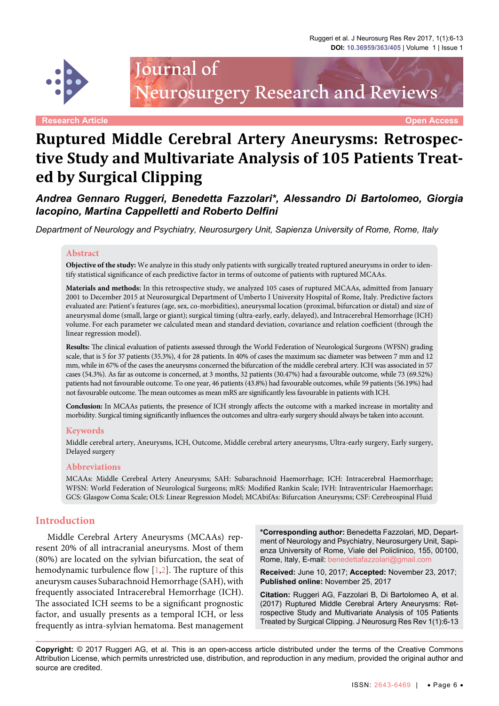

Journal of Neurosurgery Research and Reviews

**Research Article Open Access**

# **Ruptured Middle Cerebral Artery Aneurysms: Retrospective Study and Multivariate Analysis of 105 Patients Treated by Surgical Clipping**

*Andrea Gennaro Ruggeri, Benedetta Fazzolari\*, Alessandro Di Bartolomeo, Giorgia Iacopino, Martina Cappelletti and Roberto Delfini*

*Department of Neurology and Psychiatry, Neurosurgery Unit, Sapienza University of Rome, Rome, Italy*

### **Abstract**

**Objective of the study:** We analyze in this study only patients with surgically treated ruptured aneurysms in order to identify statistical significance of each predictive factor in terms of outcome of patients with ruptured MCAAs.

**Materials and methods:** In this retrospective study, we analyzed 105 cases of ruptured MCAAs, admitted from January 2001 to December 2015 at Neurosurgical Department of Umberto I University Hospital of Rome, Italy. Predictive factors evaluated are: Patient's features (age, sex, co-morbidities), aneurysmal location (proximal, bifurcation or distal) and size of aneurysmal dome (small, large or giant); surgical timing (ultra-early, early, delayed), and Intracerebral Hemorrhage (ICH) volume. For each parameter we calculated mean and standard deviation, covariance and relation coefficient (through the linear regression model).

**Results:** The clinical evaluation of patients assessed through the World Federation of Neurological Surgeons (WFSN) grading scale, that is 5 for 37 patients (35.3%), 4 for 28 patients. In 40% of cases the maximum sac diameter was between 7 mm and 12 mm, while in 67% of the cases the aneurysms concerned the bifurcation of the middle cerebral artery. ICH was associated in 57 cases (54.3%). As far as outcome is concerned, at 3 months, 32 patients (30.47%) had a favourable outcome, while 73 (69.52%) patients had not favourable outcome. To one year, 46 patients (43.8%) had favourable outcomes, while 59 patients (56.19%) had not favourable outcome. The mean outcomes as mean mRS are significantly less favourable in patients with ICH.

**Conclusion:** In MCAAs patients, the presence of ICH strongly affects the outcome with a marked increase in mortality and morbidity. Surgical timing significantly influences the outcomes and ultra-early surgery should always be taken into account.

#### **Keywords**

Middle cerebral artery, Aneurysms, ICH, Outcome, Middle cerebral artery aneurysms, Ultra-early surgery, Early surgery, Delayed surgery

#### **Abbreviations**

MCAAs: Middle Cerebral Artery Aneurysms; SAH: Subarachnoid Haemorrhage; ICH: Intracerebral Haemorrhage; WFSN: World Federation of Neurological Surgeons; mRS: Modified Rankin Scale; IVH: Intraventricular Haemorrhage; GCS: Glasgow Coma Scale; OLS: Linear Regression Model; MCAbifAs: Bifurcation Aneurysms; CSF: Cerebrospinal Fluid

#### **Introduction**

Middle Cerebral Artery Aneurysms (MCAAs) represent 20% of all intracranial aneurysms. Most of them (80%) are located on the sylvian bifurcation, the seat of hemodynamic turbulence flow [[1](#page-6-0)[,2\]](#page-6-1). The rupture of this aneurysm causes Subarachnoid Hemorrhage (SAH), with frequently associated Intracerebral Hemorrhage (ICH). The associated ICH seems to be a significant prognostic factor, and usually presents as a temporal ICH, or less frequently as intra-sylvian hematoma. Best management

**\*Corresponding author:** Benedetta Fazzolari, MD, Department of Neurology and Psychiatry, Neurosurgery Unit, Sapienza University of Rome, Viale del Policlinico, 155, 00100, Rome, Italy, E-mail: benedettafazzolari@gmail.com

**Received:** June 10, 2017; **Accepted:** November 23, 2017; **Published online:** November 25, 2017

**Citation:** Ruggeri AG, Fazzolari B, Di Bartolomeo A, et al. (2017) Ruptured Middle Cerebral Artery Aneurysms: Retrospective Study and Multivariate Analysis of 105 Patients Treated by Surgical Clipping. J Neurosurg Res Rev 1(1):6-13

**Copyright:** © 2017 Ruggeri AG, et al. This is an open-access article distributed under the terms of the Creative Commons Attribution License, which permits unrestricted use, distribution, and reproduction in any medium, provided the original author and source are credited.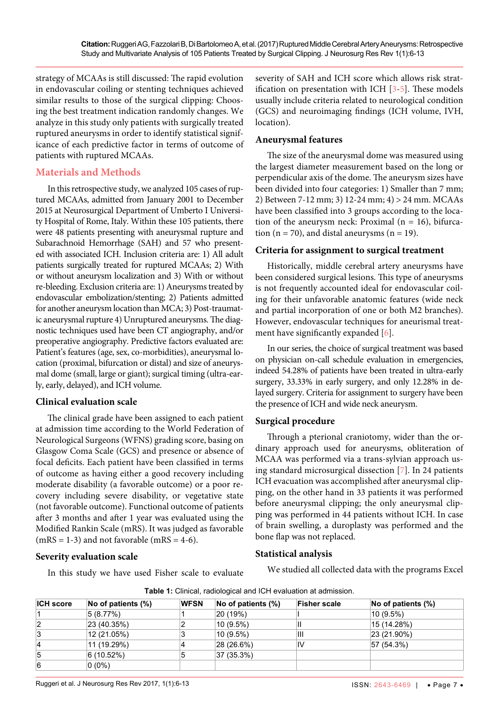strategy of MCAAs is still discussed: The rapid evolution in endovascular coiling or stenting techniques achieved similar results to those of the surgical clipping: Choosing the best treatment indication randomly changes. We analyze in this study only patients with surgically treated ruptured aneurysms in order to identify statistical significance of each predictive factor in terms of outcome of patients with ruptured MCAAs.

# **Materials and Methods**

In this retrospective study, we analyzed 105 cases of ruptured MCAAs, admitted from January 2001 to December 2015 at Neurosurgical Department of Umberto I University Hospital of Rome, Italy. Within these 105 patients, there were 48 patients presenting with aneurysmal rupture and Subarachnoid Hemorrhage (SAH) and 57 who presented with associated ICH. Inclusion criteria are: 1) All adult patients surgically treated for ruptured MCAAs; 2) With or without aneurysm localization and 3) With or without re-bleeding. Exclusion criteria are: 1) Aneurysms treated by endovascular embolization/stenting; 2) Patients admitted for another aneurysm location than MCA; 3) Post-traumatic aneurysmal rupture 4) Unruptured aneurysms. The diagnostic techniques used have been CT angiography, and/or preoperative angiography. Predictive factors evaluated are: Patient's features (age, sex, co-morbidities), aneurysmal location (proximal, bifurcation or distal) and size of aneurysmal dome (small, large or giant); surgical timing (ultra-early, early, delayed), and ICH volume.

## **Clinical evaluation scale**

The clinical grade have been assigned to each patient at admission time according to the World Federation of Neurological Surgeons (WFNS) grading score, basing on Glasgow Coma Scale (GCS) and presence or absence of focal deficits. Each patient have been classified in terms of outcome as having either a good recovery including moderate disability (a favorable outcome) or a poor recovery including severe disability, or vegetative state (not favorable outcome). Functional outcome of patients after 3 months and after 1 year was evaluated using the Modified Rankin Scale (mRS). It was judged as favorable  $(mRS = 1-3)$  and not favorable  $(mRS = 4-6)$ .

## **Severity evaluation scale**

In this study we have used Fisher scale to evaluate

severity of SAH and ICH score which allows risk stratification on presentation with ICH  $[3-5]$  $[3-5]$ . These models usually include criteria related to neurological condition (GCS) and neuroimaging findings (ICH volume, IVH, location).

## **Aneurysmal features**

The size of the aneurysmal dome was measured using the largest diameter measurement based on the long or perpendicular axis of the dome. The aneurysm sizes have been divided into four categories: 1) Smaller than 7 mm; 2) Between 7-12 mm; 3) 12-24 mm; 4) > 24 mm. MCAAs have been classified into 3 groups according to the location of the aneurysm neck: Proximal ( $n = 16$ ), bifurcation ( $n = 70$ ), and distal aneurysms ( $n = 19$ ).

## **Criteria for assignment to surgical treatment**

Historically, middle cerebral artery aneurysms have been considered surgical lesions. This type of aneurysms is not frequently accounted ideal for endovascular coiling for their unfavorable anatomic features (wide neck and partial incorporation of one or both M2 branches). However, endovascular techniques for aneurismal treat-ment have significantly expanded [\[6\]](#page-6-4).

In our series, the choice of surgical treatment was based on physician on-call schedule evaluation in emergencies, indeed 54.28% of patients have been treated in ultra-early surgery, 33.33% in early surgery, and only 12.28% in delayed surgery. Criteria for assignment to surgery have been the presence of ICH and wide neck aneurysm.

## **Surgical procedure**

Through a pterional craniotomy, wider than the ordinary approach used for aneurysms, obliteration of MCAA was performed via a trans-sylvian approach using standard microsurgical dissection [\[7\]](#page-6-5). In 24 patients ICH evacuation was accomplished after aneurysmal clipping, on the other hand in 33 patients it was performed before aneurysmal clipping; the only aneurysmal clipping was performed in 44 patients without ICH. In case of brain swelling, a duroplasty was performed and the bone flap was not replaced.

## **Statistical analysis**

We studied all collected data with the programs Excel

<span id="page-1-0"></span>

| <b>Table 1:</b> Clinical, radiological and ICH evaluation at admission. |  |  |
|-------------------------------------------------------------------------|--|--|
|-------------------------------------------------------------------------|--|--|

| <b>ICH score</b> | No of patients (%) | <b>WFSN</b> | No of patients (%) | <b>Fisher scale</b> | No of patients (%) |
|------------------|--------------------|-------------|--------------------|---------------------|--------------------|
|                  | 5 (8.77%)          |             | 20 (19%)           |                     | $10(9.5\%)$        |
| 2                | 23 (40.35%)        |             | $10(9.5\%)$        | Ш                   | 15 (14.28%)        |
| 3                | 12 (21.05%)        |             | $10(9.5\%)$        | Ш                   | 23 (21.90%)        |
| 14               | 11 (19.29%)        |             | 28 (26.6%)         | IV                  | 57 (54.3%)         |
| 5                | 6(10.52%)          | 15          | 37 (35.3%)         |                     |                    |
| 6                | $0(0\%)$           |             |                    |                     |                    |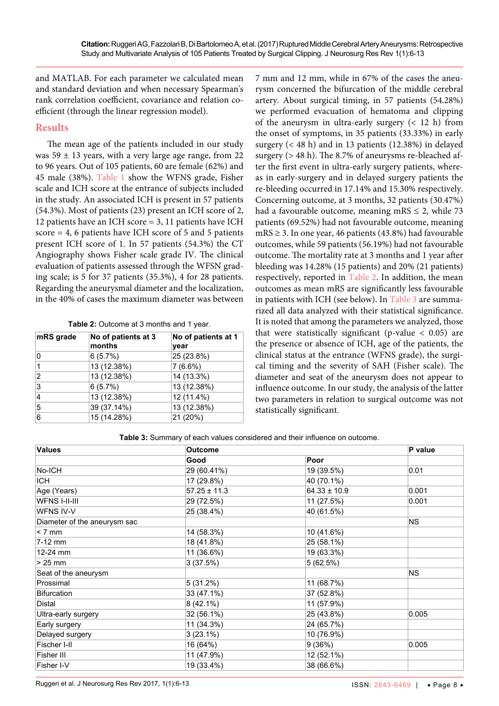and MATLAB. For each parameter we calculated mean and standard deviation and when necessary Spearman's rank correlation coefficient, covariance and relation coefficient (through the linear regression model).

## **Results**

The mean age of the patients included in our study was  $59 \pm 13$  years, with a very large age range, from 22 to 96 years. Out of 105 patients, 60 are female (62%) and 45 male (38%). [Table 1](#page-1-0) show the WFNS grade, Fisher scale and ICH score at the entrance of subjects included in the study. An associated ICH is present in 57 patients (54.3%). Most of patients (23) present an ICH score of 2, 12 patients have an ICH score = 3, 11 patients have ICH score = 4, 6 patients have ICH score of 5 and 5 patients present ICH score of 1. In 57 patients (54.3%) the CT Angiography shows Fisher scale grade IV. The clinical evaluation of patients assessed through the WFSN grading scale; is 5 for 37 patients (35.3%), 4 for 28 patients. Regarding the aneurysmal diameter and the localization, in the 40% of cases the maximum diameter was between

<span id="page-2-0"></span>

| Table 2: Outcome at 3 months and 1 year. |  |
|------------------------------------------|--|
|------------------------------------------|--|

| mRS grade | No of patients at 3<br>months | No of patients at 1<br>year |
|-----------|-------------------------------|-----------------------------|
| 0         | 6(5.7%)                       | 25 (23.8%)                  |
|           | 13 (12.38%)                   | 7(6.6%)                     |
| 2         | 13 (12.38%)                   | 14 (13.3%)                  |
| 3         | 6(5.7%)                       | 13 (12.38%)                 |
| 4         | 13 (12.38%)                   | 12 (11.4%)                  |
| 5         | 39 (37.14%)                   | 13 (12.38%)                 |
| 6         | 15 (14.28%)                   | 21 (20%)                    |

7 mm and 12 mm, while in 67% of the cases the aneurysm concerned the bifurcation of the middle cerebral artery. About surgical timing, in 57 patients (54.28%) we performed evacuation of hematoma and clipping of the aneurysm in ultra-early surgery  $(< 12$  h) from the onset of symptoms, in 35 patients (33.33%) in early surgery (< 48 h) and in 13 patients (12.38%) in delayed surgery (> 48 h). The 8.7% of aneurysms re-bleached after the first event in ultra-early surgery patients, whereas in early-surgery and in delayed surgery patients the re-bleeding occurred in 17.14% and 15.30% respectively. Concerning outcome, at 3 months, 32 patients (30.47%) had a favourable outcome, meaning mRS  $\leq$  2, while 73 patients (69.52%) had not favourable outcome, meaning mRS ≥ 3. In one year, 46 patients (43.8%) had favourable outcomes, while 59 patients (56.19%) had not favourable outcome. The mortality rate at 3 months and 1 year after bleeding was 14.28% (15 patients) and 20% (21 patients) respectively, reported in [Table 2](#page-2-0). In addition, the mean outcomes as mean mRS are significantly less favourable in patients with ICH (see below). In [Table 3](#page-2-1) are summarized all data analyzed with their statistical significance. It is noted that among the parameters we analyzed, those that were statistically significant (p-value  $< 0.05$ ) are the presence or absence of ICH, age of the patients, the clinical status at the entrance (WFNS grade), the surgical timing and the severity of SAH (Fisher scale). The diameter and seat of the aneurysm does not appear to influence outcome. In our study, the analysis of the latter two parameters in relation to surgical outcome was not statistically significant.

<span id="page-2-1"></span>**Table 3:** Summary of each values considered and their influence on outcome.

| <b>Values</b>                | <b>Outcome</b>   |                  | P value   |
|------------------------------|------------------|------------------|-----------|
|                              | Good             | Poor             |           |
| No-ICH                       | 29 (60.41%)      | 19 (39.5%)       | 0.01      |
| <b>ICH</b>                   | 17 (29.8%)       | 40 (70.1%)       |           |
| Age (Years)                  | $57.25 \pm 11.3$ | $64.33 \pm 10.9$ | 0.001     |
| <b>WFNS I-II-III</b>         | 29 (72.5%)       | 11 (27.5%)       | 0.001     |
| WFNS IV-V                    | 25 (38.4%)       | 40 (61.5%)       |           |
| Diameter of the aneurysm sac |                  |                  | <b>NS</b> |
| $< 7$ mm                     | 14 (58.3%)       | 10 (41.6%)       |           |
| 7-12 mm                      | 18 (41.8%)       | 25 (58.1%)       |           |
| 12-24 mm                     | 11 (36.6%)       | 19 (63.3%)       |           |
| $>25$ mm                     | 3(37.5%)         | 5(62.5%)         |           |
| Seat of the aneurysm         |                  |                  | <b>NS</b> |
| Prossimal                    | 5(31.2%)         | 11 (68.7%)       |           |
| <b>Bifurcation</b>           | 33 (47.1%)       | 37 (52.8%)       |           |
| Distal                       | $8(42.1\%)$      | 11 (57.9%)       |           |
| Ultra-early surgery          | 32 (56.1%)       | 25 (43.8%)       | 0.005     |
| Early surgery                | 11 (34.3%)       | 24 (65.7%)       |           |
| Delayed surgery              | $3(23.1\%)$      | 10 (76.9%)       |           |
| Fischer I-II                 | 16 (64%)         | 9(36%)           | 0.005     |
| Fisher III                   | 11 (47.9%)       | 12 (52.1%)       |           |
| Fisher I-V                   | 19 (33.4%)       | 38 (66.6%)       |           |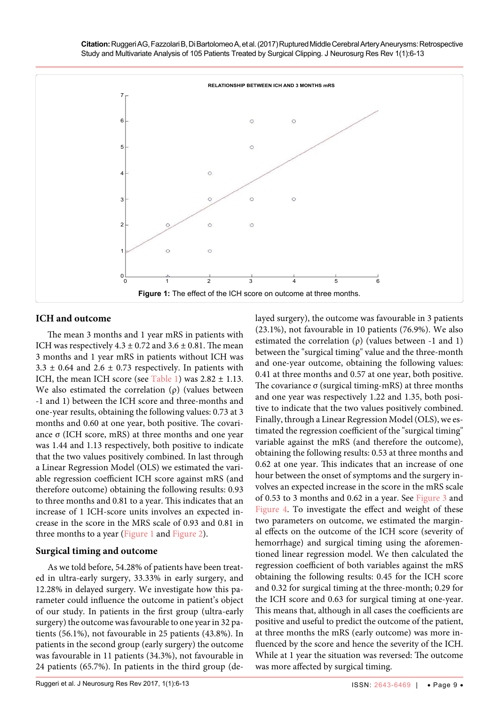**Citation:** Ruggeri AG, Fazzolari B, Di Bartolomeo A, et al. (2017) Ruptured Middle Cerebral Artery Aneurysms: Retrospective Study and Multivariate Analysis of 105 Patients Treated by Surgical Clipping. J Neurosurg Res Rev 1(1):6-13

<span id="page-3-0"></span>

### **ICH and outcome**

The mean 3 months and 1 year mRS in patients with ICH was respectively  $4.3 \pm 0.72$  and  $3.6 \pm 0.81$ . The mean 3 months and 1 year mRS in patients without ICH was  $3.3 \pm 0.64$  and  $2.6 \pm 0.73$  respectively. In patients with ICH, the mean ICH score (see [Table 1](#page-1-0)) was  $2.82 \pm 1.13$ . We also estimated the correlation  $(\rho)$  (values between -1 and 1) between the ICH score and three-months and one-year results, obtaining the following values: 0.73 at 3 months and 0.60 at one year, both positive. The covariance σ (ICH score, mRS) at three months and one year was 1.44 and 1.13 respectively, both positive to indicate that the two values positively combined. In last through a Linear Regression Model (OLS) we estimated the variable regression coefficient ICH score against mRS (and therefore outcome) obtaining the following results: 0.93 to three months and 0.81 to a year. This indicates that an increase of 1 ICH-score units involves an expected increase in the score in the MRS scale of 0.93 and 0.81 in three months to a year ([Figure 1](#page-3-0) and [Figure 2](#page-4-0)).

#### **Surgical timing and outcome**

As we told before, 54.28% of patients have been treated in ultra-early surgery, 33.33% in early surgery, and 12.28% in delayed surgery. We investigate how this parameter could influence the outcome in patient's object of our study. In patients in the first group (ultra-early surgery) the outcome was favourable to one year in 32 patients (56.1%), not favourable in 25 patients (43.8%). In patients in the second group (early surgery) the outcome was favourable in 11 patients (34.3%), not favourable in 24 patients (65.7%). In patients in the third group (delayed surgery), the outcome was favourable in 3 patients (23.1%), not favourable in 10 patients (76.9%). We also estimated the correlation  $(\rho)$  (values between -1 and 1) between the "surgical timing" value and the three-month and one-year outcome, obtaining the following values: 0.41 at three months and 0.57 at one year, both positive. The covariance  $σ$  (surgical timing-mRS) at three months and one year was respectively 1.22 and 1.35, both positive to indicate that the two values positively combined. Finally, through a Linear Regression Model (OLS), we estimated the regression coefficient of the "surgical timing" variable against the mRS (and therefore the outcome), obtaining the following results: 0.53 at three months and 0.62 at one year. This indicates that an increase of one hour between the onset of symptoms and the surgery involves an expected increase in the score in the mRS scale of 0.53 to 3 months and 0.62 in a year. See [Figure 3](#page-4-1) and [Figure 4.](#page-4-2) To investigate the effect and weight of these two parameters on outcome, we estimated the marginal effects on the outcome of the ICH score (severity of hemorrhage) and surgical timing using the aforementioned linear regression model. We then calculated the regression coefficient of both variables against the mRS obtaining the following results: 0.45 for the ICH score and 0.32 for surgical timing at the three-month; 0.29 for the ICH score and 0.63 for surgical timing at one-year. This means that, although in all cases the coefficients are positive and useful to predict the outcome of the patient, at three months the mRS (early outcome) was more influenced by the score and hence the severity of the ICH. While at 1 year the situation was reversed: The outcome was more affected by surgical timing.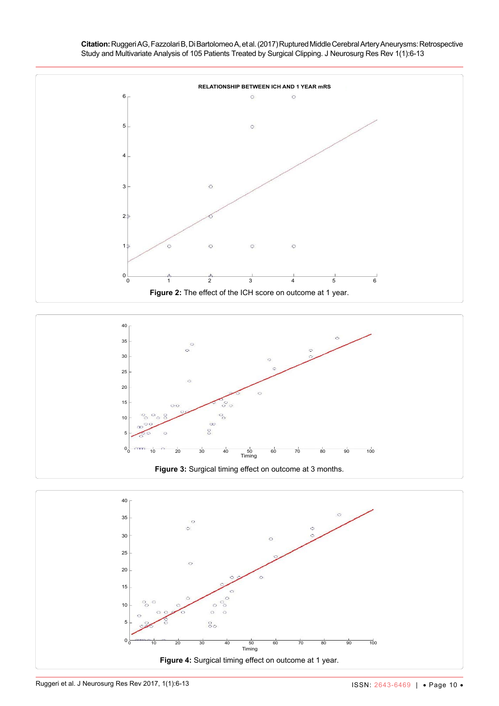**Citation:** Ruggeri AG, Fazzolari B, Di Bartolomeo A, et al. (2017) Ruptured Middle Cerebral Artery Aneurysms: Retrospective Study and Multivariate Analysis of 105 Patients Treated by Surgical Clipping. J Neurosurg Res Rev 1(1):6-13

<span id="page-4-1"></span><span id="page-4-0"></span>

0 10 20 30 40 50 60 70 80 90 100

Timing **Figure 4:** Surgical timing effect on outcome at 1 year.

 $\circ$  $\circ$ 

 $\delta$ 

<span id="page-4-2"></span>5

 $0_0^\mathsf{L}$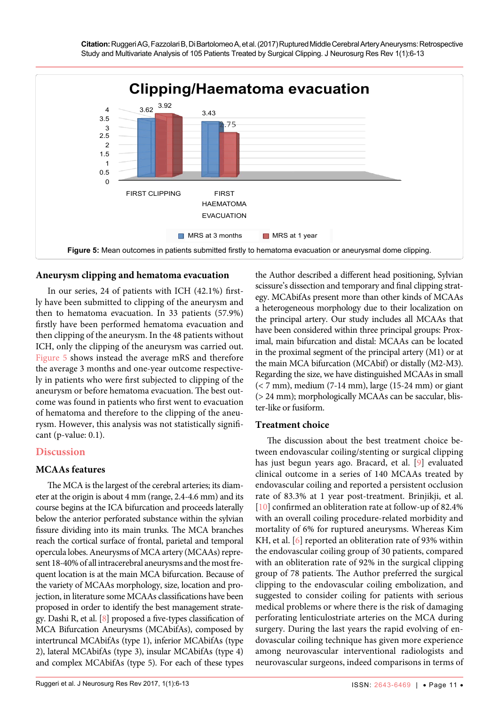<span id="page-5-0"></span>

## **Aneurysm clipping and hematoma evacuation**

In our series, 24 of patients with ICH (42.1%) firstly have been submitted to clipping of the aneurysm and then to hematoma evacuation. In 33 patients (57.9%) firstly have been performed hematoma evacuation and then clipping of the aneurysm. In the 48 patients without ICH, only the clipping of the aneurysm was carried out. [Figure 5](#page-5-0) shows instead the average mRS and therefore the average 3 months and one-year outcome respectively in patients who were first subjected to clipping of the aneurysm or before hematoma evacuation. The best outcome was found in patients who first went to evacuation of hematoma and therefore to the clipping of the aneurysm. However, this analysis was not statistically significant (p-value: 0.1).

## **Discussion**

## **MCAAs features**

The MCA is the largest of the cerebral arteries; its diameter at the origin is about 4 mm (range, 2.4-4.6 mm) and its course begins at the ICA bifurcation and proceeds laterally below the anterior perforated substance within the sylvian fissure dividing into its main trunks. The MCA branches reach the cortical surface of frontal, parietal and temporal opercula lobes. Aneurysms of MCA artery (MCAAs) represent 18-40% of all intracerebral aneurysms and the most frequent location is at the main MCA bifurcation. Because of the variety of MCAAs morphology, size, location and projection, in literature some MCAAs classifications have been proposed in order to identify the best management strategy. Dashi R, et al. [\[8\]](#page-6-8) proposed a five-types classification of MCA Bifurcation Aneurysms (MCAbifAs), composed by intertruncal MCAbifAs (type 1), inferior MCAbifAs (type 2), lateral MCAbifAs (type 3), insular MCAbifAs (type 4) and complex MCAbifAs (type 5). For each of these types

the Author described a different head positioning, Sylvian scissure's dissection and temporary and final clipping strategy. MCAbifAs present more than other kinds of MCAAs a heterogeneous morphology due to their localization on the principal artery. Our study includes all MCAAs that have been considered within three principal groups: Proximal, main bifurcation and distal: MCAAs can be located in the proximal segment of the principal artery (M1) or at the main MCA bifurcation (MCAbif) or distally (M2-M3). Regarding the size, we have distinguished MCAAs in small (< 7 mm), medium (7-14 mm), large (15-24 mm) or giant (> 24 mm); morphologically MCAAs can be saccular, blister-like or fusiform.

## **Treatment choice**

The discussion about the best treatment choice between endovascular coiling/stenting or surgical clipping has just begun years ago. Bracard, et al. [\[9\]](#page-6-6) evaluated clinical outcome in a series of 140 MCAAs treated by endovascular coiling and reported a persistent occlusion rate of 83.3% at 1 year post-treatment. Brinjikji, et al. [[10](#page-6-7)] confirmed an obliteration rate at follow-up of 82.4% with an overall coiling procedure-related morbidity and mortality of 6% for ruptured aneurysms. Whereas Kim KH, et al. [\[6\]](#page-6-4) reported an obliteration rate of 93% within the endovascular coiling group of 30 patients, compared with an obliteration rate of 92% in the surgical clipping group of 78 patients. The Author preferred the surgical clipping to the endovascular coiling embolization, and suggested to consider coiling for patients with serious medical problems or where there is the risk of damaging perforating lenticulostriate arteries on the MCA during surgery. During the last years the rapid evolving of endovascular coiling technique has given more experience among neurovascular interventional radiologists and neurovascular surgeons, indeed comparisons in terms of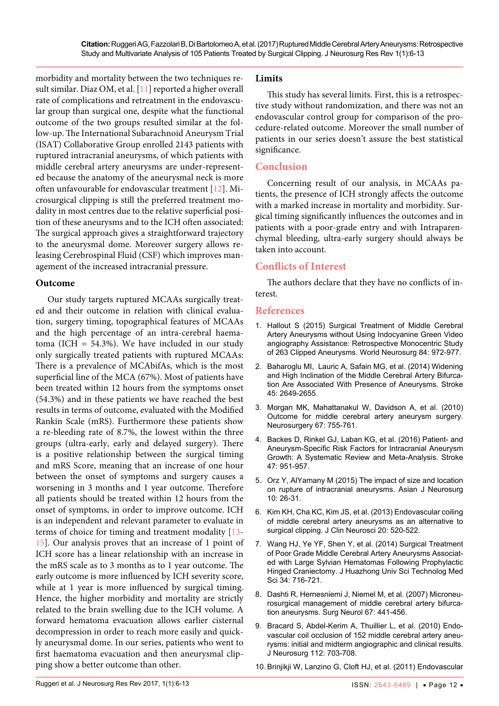morbidity and mortality between the two techniques result similar. Diaz OM, et al. [[11](#page-7-0)] reported a higher overall rate of complications and retreatment in the endovascular group than surgical one, despite what the functional outcome of the two groups resulted similar at the follow-up. The International Subarachnoid Aneurysm Trial (ISAT) Collaborative Group enrolled 2143 patients with ruptured intracranial aneurysms, of which patients with middle cerebral artery aneurysms are under-represented because the anatomy of the aneurysmal neck is more often unfavourable for endovascular treatment [[12](#page-7-1)]. Microsurgical clipping is still the preferred treatment modality in most centres due to the relative superficial position of these aneurysms and to the ICH often associated: The surgical approach gives a straightforward trajectory to the aneurysmal dome. Moreover surgery allows releasing Cerebrospinal Fluid (CSF) which improves management of the increased intracranial pressure.

### **Outcome**

Our study targets ruptured MCAAs surgically treated and their outcome in relation with clinical evaluation, surgery timing, topographical features of MCAAs and the high percentage of an intra-cerebral haematoma (ICH = 54.3%). We have included in our study only surgically treated patients with ruptured MCAAs: There is a prevalence of MCAbifAs, which is the most superficial line of the MCA (67%). Most of patients have been treated within 12 hours from the symptoms onset (54.3%) and in these patients we have reached the best results in terms of outcome, evaluated with the Modified Rankin Scale (mRS). Furthermore these patients show a re-bleeding rate of 8.7%, the lowest within the three groups (ultra-early, early and delayed surgery). There is a positive relationship between the surgical timing and mRS Score, meaning that an increase of one hour between the onset of symptoms and surgery causes a worsening in 3 months and 1 year outcome. Therefore all patients should be treated within 12 hours from the onset of symptoms, in order to improve outcome. ICH is an independent and relevant parameter to evaluate in terms of choice for timing and treatment modality [\[13-](#page-7-2) [15](#page-7-3)]. Our analysis proves that an increase of 1 point of ICH score has a linear relationship with an increase in the mRS scale as to 3 months as to 1 year outcome. The early outcome is more influenced by ICH severity score, while at 1 year is more influenced by surgical timing. Hence, the higher morbidity and mortality are strictly related to the brain swelling due to the ICH volume. A forward hematoma evacuation allows earlier cisternal decompression in order to reach more easily and quickly aneurysmal dome. In our series, patients who went to first haematoma evacuation and then aneurysmal clipping show a better outcome than other.

## **Limits**

This study has several limits. First, this is a retrospective study without randomization, and there was not an endovascular control group for comparison of the procedure-related outcome. Moreover the small number of patients in our series doesn't assure the best statistical significance.

# **Conclusion**

Concerning result of our analysis, in MCAAs patients, the presence of ICH strongly affects the outcome with a marked increase in mortality and morbidity. Surgical timing significantly influences the outcomes and in patients with a poor-grade entry and with Intraparenchymal bleeding, ultra-early surgery should always be taken into account.

# **Conflicts of Interest**

The authors declare that they have no conflicts of interest.

### **References**

- <span id="page-6-0"></span>1. [Hallout S \(2015\) Surgical Treatment of Middle Cerebral](https://www.ncbi.nlm.nih.gov/pubmed/26074439)  [Artery Aneurysms without Using Indocyanine Green Video](https://www.ncbi.nlm.nih.gov/pubmed/26074439)  [angiography Assistance: Retrospective Monocentric Study](https://www.ncbi.nlm.nih.gov/pubmed/26074439)  [of 263 Clipped Aneurysms. World Neurosurg 84: 972-977.](https://www.ncbi.nlm.nih.gov/pubmed/26074439)
- <span id="page-6-1"></span>2. [Baharoglu MI, Lauric A, Safain MG, et al. \(2014\) Widening](https://www.ncbi.nlm.nih.gov/pubmed/25116869)  [and High Inclination of the Middle Cerebral Artery Bifurca](https://www.ncbi.nlm.nih.gov/pubmed/25116869)[tion Are Associated With Presence of Aneurysms. Stroke](https://www.ncbi.nlm.nih.gov/pubmed/25116869)  [45: 2649-2655.](https://www.ncbi.nlm.nih.gov/pubmed/25116869)
- <span id="page-6-2"></span>3. [Morgan MK, Mahattanakul W, Davidson A, et al. \(2010\)](https://www.ncbi.nlm.nih.gov/pubmed/20651625)  [Outcome for middle cerebral artery aneurysm surgery.](https://www.ncbi.nlm.nih.gov/pubmed/20651625)  [Neurosurgery 67: 755-761.](https://www.ncbi.nlm.nih.gov/pubmed/20651625)
- 4. [Backes D, Rinkel GJ, Laban KG, et al. \(2016\) Patient- and](https://www.ncbi.nlm.nih.gov/pubmed/26906920)  [Aneurysm-Specific Risk Factors for Intracranial Aneurysm](https://www.ncbi.nlm.nih.gov/pubmed/26906920)  [Growth: A Systematic Review and Meta-Analysis. Stroke](https://www.ncbi.nlm.nih.gov/pubmed/26906920)  [47: 951-957.](https://www.ncbi.nlm.nih.gov/pubmed/26906920)
- <span id="page-6-3"></span>5. [Orz Y, AlYamany M \(2015\) The impact of size and location](https://www.ncbi.nlm.nih.gov/pubmed/25767572)  [on rupture of intracranial aneurysms. Asian J Neurosurg](https://www.ncbi.nlm.nih.gov/pubmed/25767572)  [10: 26-31.](https://www.ncbi.nlm.nih.gov/pubmed/25767572)
- <span id="page-6-4"></span>6. [Kim KH, Cha KC, Kim JS, et al. \(2013\) Endovascular coiling](https://www.ncbi.nlm.nih.gov/pubmed/23375399)  [of middle cerebral artery aneurysms as an alternative to](https://www.ncbi.nlm.nih.gov/pubmed/23375399)  [surgical clipping. J Clin Neurosci 20: 520-522.](https://www.ncbi.nlm.nih.gov/pubmed/23375399)
- <span id="page-6-5"></span>7. [Wang HJ, Ye YF, Shen Y, et al. \(2014\) Surgical Treatment](https://www.ncbi.nlm.nih.gov/pubmed/25318882)  [of Poor Grade Middle Cerebral Artery Aneurysms Associat](https://www.ncbi.nlm.nih.gov/pubmed/25318882)[ed with Large Sylvian Hematomas Following Prophylactic](https://www.ncbi.nlm.nih.gov/pubmed/25318882)  [Hinged Craniectomy. J Huazhong Univ Sci Technolog Med](https://www.ncbi.nlm.nih.gov/pubmed/25318882)  [Sci 34: 716-721.](https://www.ncbi.nlm.nih.gov/pubmed/25318882)
- <span id="page-6-8"></span>8. [Dashti R, Hernesniemi J, Niemel M, et al. \(2007\) Microneu](https://www.ncbi.nlm.nih.gov/pubmed/17445599)[rosurgical management of middle cerebral artery bifurca](https://www.ncbi.nlm.nih.gov/pubmed/17445599)[tion aneurysms. Surg Neurol 67: 441-456.](https://www.ncbi.nlm.nih.gov/pubmed/17445599)
- <span id="page-6-6"></span>9. [Bracard S, Abdel-Kerim A, Thuillier L, et al. \(2010\) Endo](https://www.ncbi.nlm.nih.gov/pubmed/19852536)[vascular coil occlusion of 152 middle cerebral artery aneu](https://www.ncbi.nlm.nih.gov/pubmed/19852536)[rysms: initial and midterm angiographic and clinical results.](https://www.ncbi.nlm.nih.gov/pubmed/19852536)  [J Neurosurg 112: 703-708.](https://www.ncbi.nlm.nih.gov/pubmed/19852536)
- <span id="page-6-7"></span>10. [Brinjikji W, Lanzino G, Cloft HJ, et al. \(2011\) Endovascular](https://www.ncbi.nlm.nih.gov/pubmed/21135730)